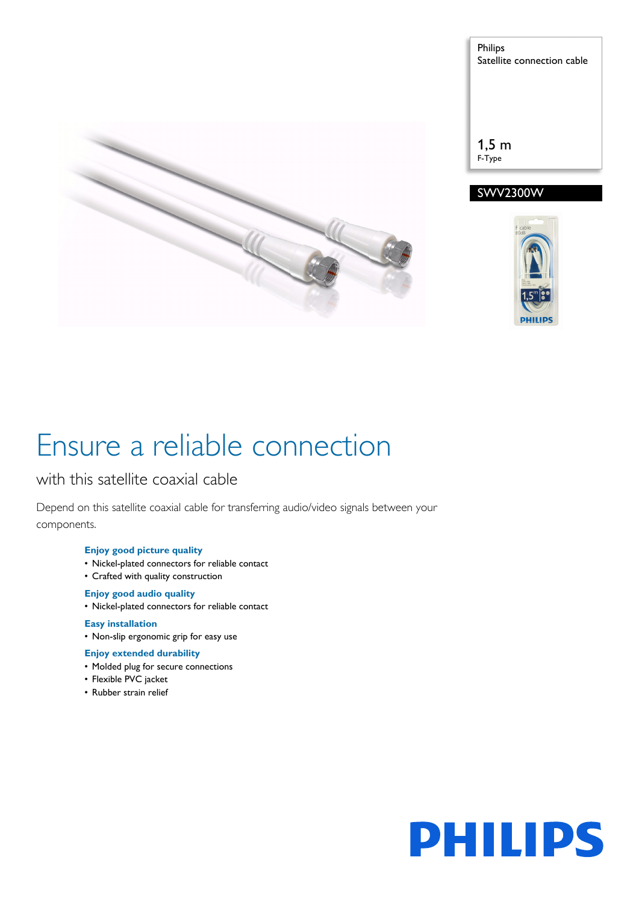



# SWV2300W



# Ensure a reliable connection

# with this satellite coaxial cable

Depend on this satellite coaxial cable for transferring audio/video signals between your components.

## **Enjoy good picture quality**

- Nickel-plated connectors for reliable contact
- Crafted with quality construction

## **Enjoy good audio quality**

• Nickel-plated connectors for reliable contact

## **Easy installation**

• Non-slip ergonomic grip for easy use

## **Enjoy extended durability**

- Molded plug for secure connections
- Flexible PVC jacket
- Rubber strain relief